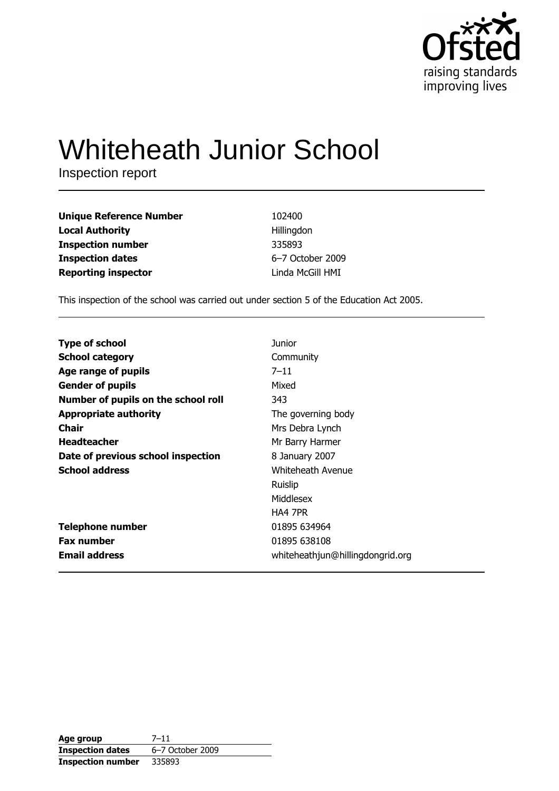

# **Whiteheath Junior School**

Inspection report

| <b>Unique Reference Number</b> | 102400           |
|--------------------------------|------------------|
| <b>Local Authority</b>         | Hillingdon       |
| <b>Inspection number</b>       | 335893           |
| <b>Inspection dates</b>        | 6-7 October 2009 |
| <b>Reporting inspector</b>     | Linda McGill HMI |

This inspection of the school was carried out under section 5 of the Education Act 2005.

| <b>Type of school</b>               | Junior                           |
|-------------------------------------|----------------------------------|
| <b>School category</b>              | Community                        |
| Age range of pupils                 | $7 - 11$                         |
| <b>Gender of pupils</b>             | Mixed                            |
| Number of pupils on the school roll | 343                              |
| <b>Appropriate authority</b>        | The governing body               |
| <b>Chair</b>                        | Mrs Debra Lynch                  |
| <b>Headteacher</b>                  | Mr Barry Harmer                  |
| Date of previous school inspection  | 8 January 2007                   |
| <b>School address</b>               | Whiteheath Avenue                |
|                                     | Ruislip                          |
|                                     | Middlesex                        |
|                                     | HA4 7PR                          |
| Telephone number                    | 01895 634964                     |
| <b>Fax number</b>                   | 01895 638108                     |
| <b>Email address</b>                | whiteheathjun@hillingdongrid.org |

| Age group                | $7 - 11$         |
|--------------------------|------------------|
| <b>Inspection dates</b>  | 6-7 October 2009 |
| <b>Inspection number</b> | 335893           |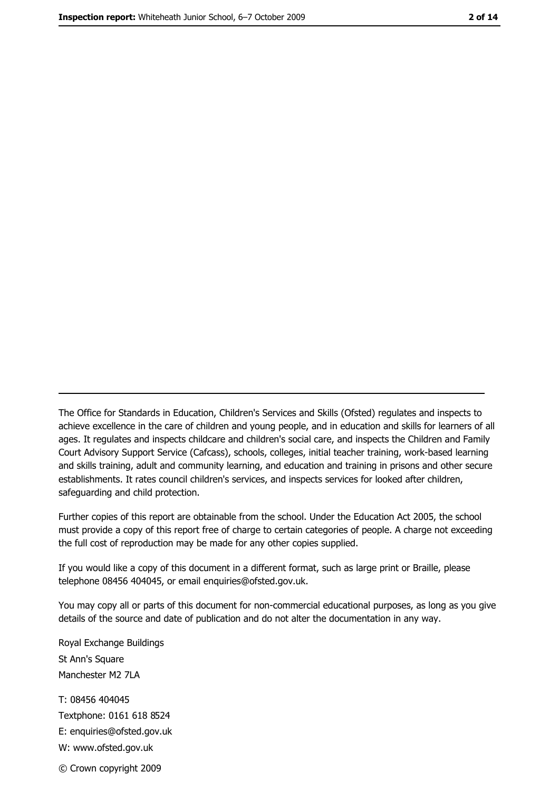The Office for Standards in Education, Children's Services and Skills (Ofsted) regulates and inspects to achieve excellence in the care of children and young people, and in education and skills for learners of all ages. It regulates and inspects childcare and children's social care, and inspects the Children and Family Court Advisory Support Service (Cafcass), schools, colleges, initial teacher training, work-based learning and skills training, adult and community learning, and education and training in prisons and other secure establishments. It rates council children's services, and inspects services for looked after children, safequarding and child protection.

Further copies of this report are obtainable from the school. Under the Education Act 2005, the school must provide a copy of this report free of charge to certain categories of people. A charge not exceeding the full cost of reproduction may be made for any other copies supplied.

If you would like a copy of this document in a different format, such as large print or Braille, please telephone 08456 404045, or email enquiries@ofsted.gov.uk.

You may copy all or parts of this document for non-commercial educational purposes, as long as you give details of the source and date of publication and do not alter the documentation in any way.

Royal Exchange Buildings St Ann's Square Manchester M2 7LA T: 08456 404045 Textphone: 0161 618 8524 E: enquiries@ofsted.gov.uk W: www.ofsted.gov.uk © Crown copyright 2009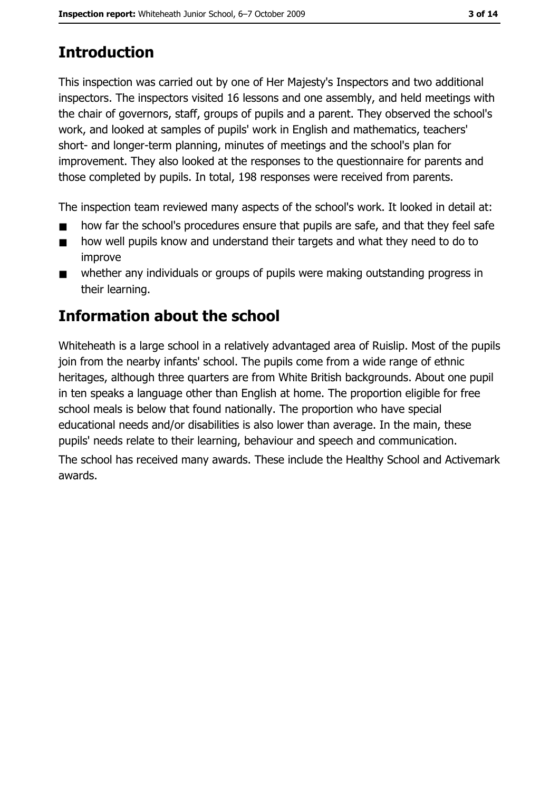# **Introduction**

This inspection was carried out by one of Her Majesty's Inspectors and two additional inspectors. The inspectors visited 16 lessons and one assembly, and held meetings with the chair of governors, staff, groups of pupils and a parent. They observed the school's work, and looked at samples of pupils' work in English and mathematics, teachers' short- and longer-term planning, minutes of meetings and the school's plan for improvement. They also looked at the responses to the questionnaire for parents and those completed by pupils. In total, 198 responses were received from parents.

The inspection team reviewed many aspects of the school's work. It looked in detail at:

- how far the school's procedures ensure that pupils are safe, and that they feel safe
- how well pupils know and understand their targets and what they need to do to  $\blacksquare$ improve
- whether any individuals or groups of pupils were making outstanding progress in  $\blacksquare$ their learning.

# Information about the school

Whiteheath is a large school in a relatively advantaged area of Ruislip. Most of the pupils join from the nearby infants' school. The pupils come from a wide range of ethnic heritages, although three quarters are from White British backgrounds. About one pupil in ten speaks a language other than English at home. The proportion eligible for free school meals is below that found nationally. The proportion who have special educational needs and/or disabilities is also lower than average. In the main, these pupils' needs relate to their learning, behaviour and speech and communication. The school has received many awards. These include the Healthy School and Activemark awards.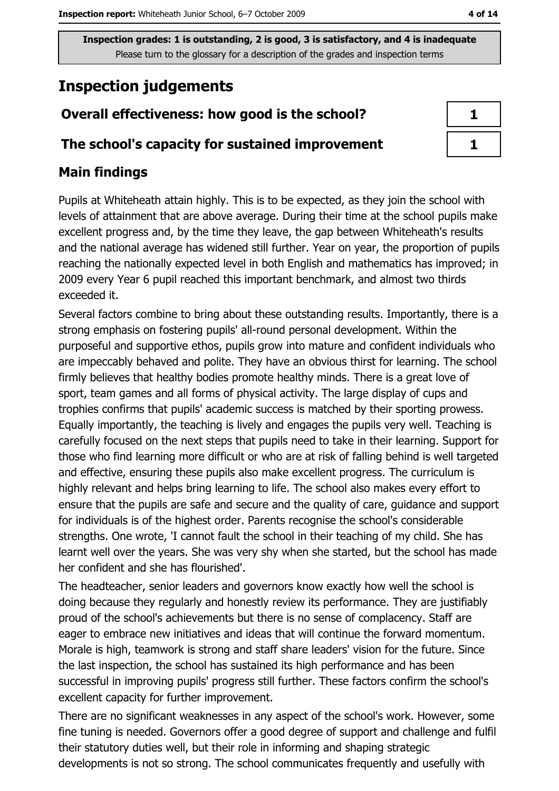# **Inspection judgements**

# Overall effectiveness: how good is the school?

## The school's capacity for sustained improvement

## **Main findings**

Pupils at Whiteheath attain highly. This is to be expected, as they join the school with levels of attainment that are above average. During their time at the school pupils make excellent progress and, by the time they leave, the gap between Whiteheath's results and the national average has widened still further. Year on year, the proportion of pupils reaching the nationally expected level in both English and mathematics has improved; in 2009 every Year 6 pupil reached this important benchmark, and almost two thirds exceeded it.

Several factors combine to bring about these outstanding results. Importantly, there is a strong emphasis on fostering pupils' all-round personal development. Within the purposeful and supportive ethos, pupils grow into mature and confident individuals who are impeccably behaved and polite. They have an obvious thirst for learning. The school firmly believes that healthy bodies promote healthy minds. There is a great love of sport, team games and all forms of physical activity. The large display of cups and trophies confirms that pupils' academic success is matched by their sporting prowess. Equally importantly, the teaching is lively and engages the pupils very well. Teaching is carefully focused on the next steps that pupils need to take in their learning. Support for those who find learning more difficult or who are at risk of falling behind is well targeted and effective, ensuring these pupils also make excellent progress. The curriculum is highly relevant and helps bring learning to life. The school also makes every effort to ensure that the pupils are safe and secure and the quality of care, guidance and support for individuals is of the highest order. Parents recognise the school's considerable strengths. One wrote, 'I cannot fault the school in their teaching of my child. She has learnt well over the years. She was very shy when she started, but the school has made her confident and she has flourished'.

The headteacher, senior leaders and governors know exactly how well the school is doing because they regularly and honestly review its performance. They are justifiably proud of the school's achievements but there is no sense of complacency. Staff are eager to embrace new initiatives and ideas that will continue the forward momentum. Morale is high, teamwork is strong and staff share leaders' vision for the future. Since the last inspection, the school has sustained its high performance and has been successful in improving pupils' progress still further. These factors confirm the school's excellent capacity for further improvement.

There are no significant weaknesses in any aspect of the school's work. However, some fine tuning is needed. Governors offer a good degree of support and challenge and fulfil their statutory duties well, but their role in informing and shaping strategic developments is not so strong. The school communicates frequently and usefully with

| I |
|---|
| ٦ |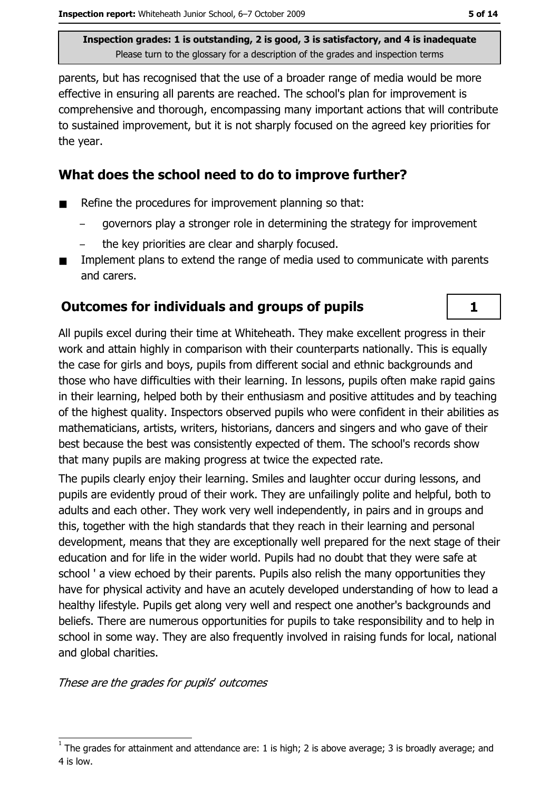parents, but has recognised that the use of a broader range of media would be more effective in ensuring all parents are reached. The school's plan for improvement is comprehensive and thorough, encompassing many important actions that will contribute to sustained improvement, but it is not sharply focused on the agreed key priorities for the year.

## What does the school need to do to improve further?

- Refine the procedures for improvement planning so that:
	- governors play a stronger role in determining the strategy for improvement
	- the key priorities are clear and sharply focused.
- Implement plans to extend the range of media used to communicate with parents and carers.

## **Outcomes for individuals and groups of pupils**

All pupils excel during their time at Whiteheath. They make excellent progress in their work and attain highly in comparison with their counterparts nationally. This is equally the case for girls and boys, pupils from different social and ethnic backgrounds and those who have difficulties with their learning. In lessons, pupils often make rapid gains in their learning, helped both by their enthusiasm and positive attitudes and by teaching of the highest quality. Inspectors observed pupils who were confident in their abilities as mathematicians, artists, writers, historians, dancers and singers and who gave of their best because the best was consistently expected of them. The school's records show that many pupils are making progress at twice the expected rate.

The pupils clearly enjoy their learning. Smiles and laughter occur during lessons, and pupils are evidently proud of their work. They are unfailingly polite and helpful, both to adults and each other. They work very well independently, in pairs and in groups and this, together with the high standards that they reach in their learning and personal development, means that they are exceptionally well prepared for the next stage of their education and for life in the wider world. Pupils had no doubt that they were safe at school ' a view echoed by their parents. Pupils also relish the many opportunities they have for physical activity and have an acutely developed understanding of how to lead a healthy lifestyle. Pupils get along very well and respect one another's backgrounds and beliefs. There are numerous opportunities for pupils to take responsibility and to help in school in some way. They are also frequently involved in raising funds for local, national and global charities.

These are the grades for pupils' outcomes

 $\mathbf{1}$ 

The grades for attainment and attendance are: 1 is high; 2 is above average; 3 is broadly average; and 4 is low.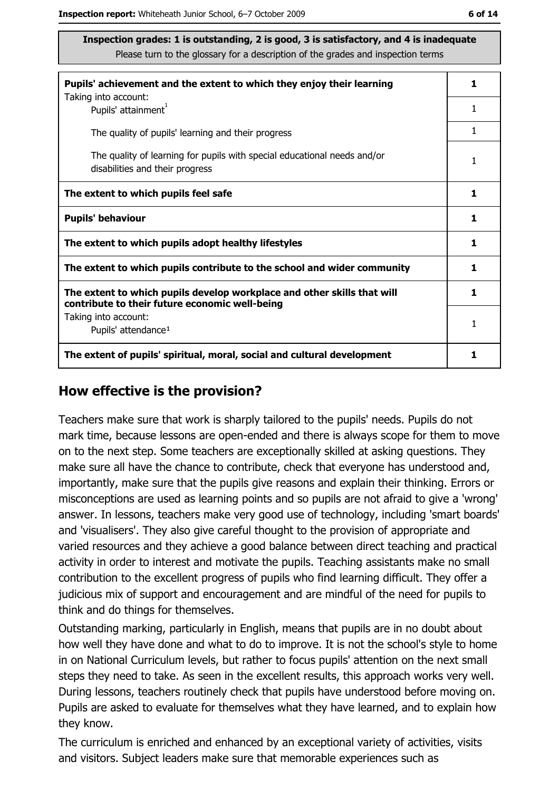| Pupils' achievement and the extent to which they enjoy their learning                                                     |   |
|---------------------------------------------------------------------------------------------------------------------------|---|
| Taking into account:<br>Pupils' attainment <sup>1</sup>                                                                   | 1 |
| The quality of pupils' learning and their progress                                                                        |   |
| The quality of learning for pupils with special educational needs and/or<br>disabilities and their progress               |   |
| The extent to which pupils feel safe                                                                                      |   |
| <b>Pupils' behaviour</b>                                                                                                  |   |
| The extent to which pupils adopt healthy lifestyles                                                                       |   |
| The extent to which pupils contribute to the school and wider community                                                   |   |
| The extent to which pupils develop workplace and other skills that will<br>contribute to their future economic well-being | 1 |
| Taking into account:<br>Pupils' attendance <sup>1</sup>                                                                   | 1 |
| The extent of pupils' spiritual, moral, social and cultural development                                                   |   |

#### How effective is the provision?

Teachers make sure that work is sharply tailored to the pupils' needs. Pupils do not mark time, because lessons are open-ended and there is always scope for them to move on to the next step. Some teachers are exceptionally skilled at asking questions. They make sure all have the chance to contribute, check that everyone has understood and, importantly, make sure that the pupils give reasons and explain their thinking. Errors or misconceptions are used as learning points and so pupils are not afraid to give a 'wrong' answer. In lessons, teachers make very good use of technology, including 'smart boards' and 'visualisers'. They also give careful thought to the provision of appropriate and varied resources and they achieve a good balance between direct teaching and practical activity in order to interest and motivate the pupils. Teaching assistants make no small contribution to the excellent progress of pupils who find learning difficult. They offer a judicious mix of support and encouragement and are mindful of the need for pupils to think and do things for themselves.

Outstanding marking, particularly in English, means that pupils are in no doubt about how well they have done and what to do to improve. It is not the school's style to home in on National Curriculum levels, but rather to focus pupils' attention on the next small steps they need to take. As seen in the excellent results, this approach works very well. During lessons, teachers routinely check that pupils have understood before moving on. Pupils are asked to evaluate for themselves what they have learned, and to explain how they know.

The curriculum is enriched and enhanced by an exceptional variety of activities, visits and visitors. Subject leaders make sure that memorable experiences such as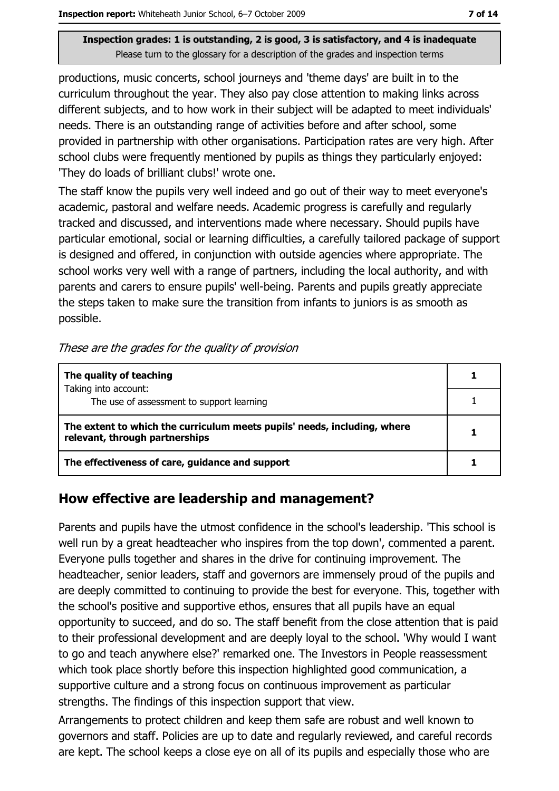productions, music concerts, school journeys and 'theme days' are built in to the curriculum throughout the year. They also pay close attention to making links across different subjects, and to how work in their subject will be adapted to meet individuals' needs. There is an outstanding range of activities before and after school, some provided in partnership with other organisations. Participation rates are very high. After school clubs were frequently mentioned by pupils as things they particularly enjoyed: 'They do loads of brilliant clubs!' wrote one.

The staff know the pupils very well indeed and go out of their way to meet everyone's academic, pastoral and welfare needs. Academic progress is carefully and regularly tracked and discussed, and interventions made where necessary. Should pupils have particular emotional, social or learning difficulties, a carefully tailored package of support is designed and offered, in conjunction with outside agencies where appropriate. The school works very well with a range of partners, including the local authority, and with parents and carers to ensure pupils' well-being. Parents and pupils greatly appreciate the steps taken to make sure the transition from infants to juniors is as smooth as possible.

#### These are the grades for the quality of provision

| The quality of teaching                                                                                    |  |
|------------------------------------------------------------------------------------------------------------|--|
| Taking into account:<br>The use of assessment to support learning                                          |  |
| The extent to which the curriculum meets pupils' needs, including, where<br>relevant, through partnerships |  |
| The effectiveness of care, guidance and support                                                            |  |

## How effective are leadership and management?

Parents and pupils have the utmost confidence in the school's leadership. 'This school is well run by a great headteacher who inspires from the top down', commented a parent. Everyone pulls together and shares in the drive for continuing improvement. The headteacher, senior leaders, staff and governors are immensely proud of the pupils and are deeply committed to continuing to provide the best for everyone. This, together with the school's positive and supportive ethos, ensures that all pupils have an equal opportunity to succeed, and do so. The staff benefit from the close attention that is paid to their professional development and are deeply loyal to the school. 'Why would I want to go and teach anywhere else?' remarked one. The Investors in People reassessment which took place shortly before this inspection highlighted good communication, a supportive culture and a strong focus on continuous improvement as particular strengths. The findings of this inspection support that view.

Arrangements to protect children and keep them safe are robust and well known to governors and staff. Policies are up to date and regularly reviewed, and careful records are kept. The school keeps a close eye on all of its pupils and especially those who are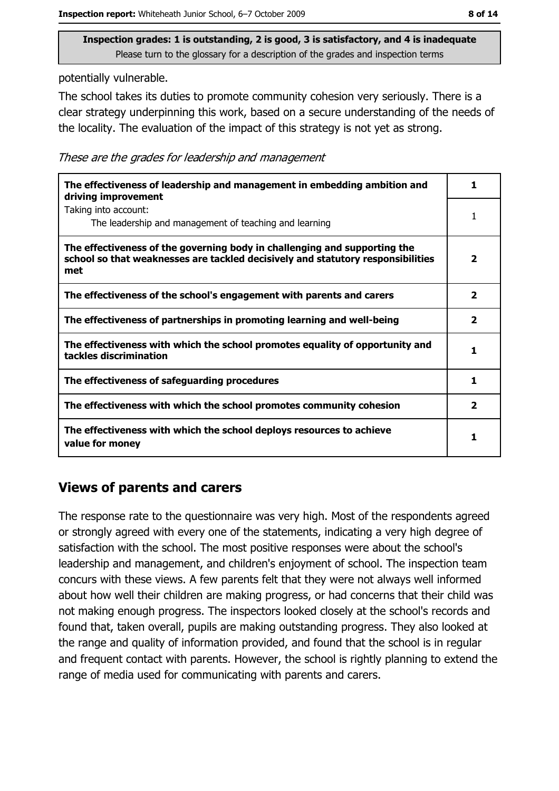potentially vulnerable.

The school takes its duties to promote community cohesion very seriously. There is a clear strategy underpinning this work, based on a secure understanding of the needs of the locality. The evaluation of the impact of this strategy is not yet as strong.

These are the grades for leadership and management

| The effectiveness of leadership and management in embedding ambition and<br>driving improvement                                                                     | 1                       |
|---------------------------------------------------------------------------------------------------------------------------------------------------------------------|-------------------------|
| Taking into account:<br>The leadership and management of teaching and learning                                                                                      |                         |
| The effectiveness of the governing body in challenging and supporting the<br>school so that weaknesses are tackled decisively and statutory responsibilities<br>met | $\overline{\mathbf{2}}$ |
| The effectiveness of the school's engagement with parents and carers                                                                                                | $\overline{\mathbf{2}}$ |
| The effectiveness of partnerships in promoting learning and well-being                                                                                              | 2                       |
| The effectiveness with which the school promotes equality of opportunity and<br>tackles discrimination                                                              | 1                       |
| The effectiveness of safeguarding procedures                                                                                                                        | 1                       |
| The effectiveness with which the school promotes community cohesion                                                                                                 | $\overline{\mathbf{2}}$ |
| The effectiveness with which the school deploys resources to achieve<br>value for money                                                                             | 1                       |

### **Views of parents and carers**

The response rate to the questionnaire was very high. Most of the respondents agreed or strongly agreed with every one of the statements, indicating a very high degree of satisfaction with the school. The most positive responses were about the school's leadership and management, and children's enjoyment of school. The inspection team concurs with these views. A few parents felt that they were not always well informed about how well their children are making progress, or had concerns that their child was not making enough progress. The inspectors looked closely at the school's records and found that, taken overall, pupils are making outstanding progress. They also looked at the range and quality of information provided, and found that the school is in regular and frequent contact with parents. However, the school is rightly planning to extend the range of media used for communicating with parents and carers.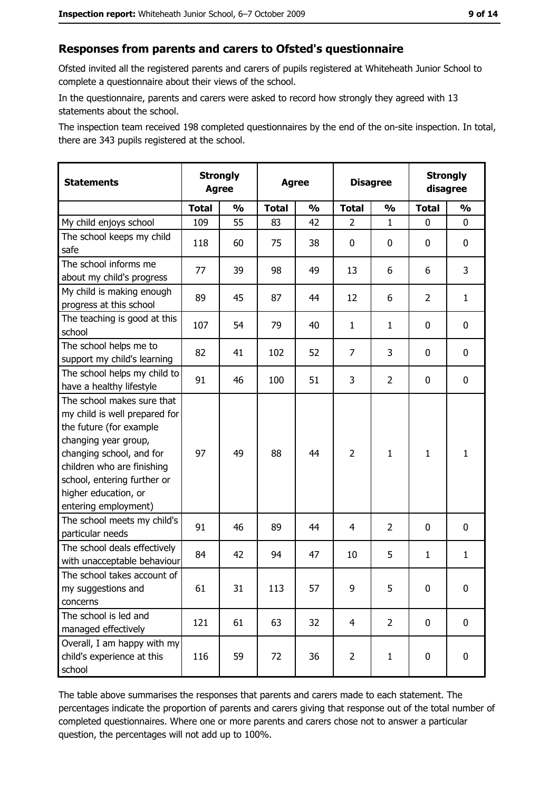#### Responses from parents and carers to Ofsted's questionnaire

Ofsted invited all the registered parents and carers of pupils registered at Whiteheath Junior School to complete a questionnaire about their views of the school.

In the questionnaire, parents and carers were asked to record how strongly they agreed with 13 statements about the school.

The inspection team received 198 completed questionnaires by the end of the on-site inspection. In total, there are 343 pupils registered at the school.

| <b>Statements</b>                                                                                                                                                                                                                                       | <b>Strongly</b><br><b>Agree</b> |               | <b>Agree</b> |               |                | <b>Disagree</b> |                | <b>Strongly</b><br>disagree |  |
|---------------------------------------------------------------------------------------------------------------------------------------------------------------------------------------------------------------------------------------------------------|---------------------------------|---------------|--------------|---------------|----------------|-----------------|----------------|-----------------------------|--|
|                                                                                                                                                                                                                                                         | <b>Total</b>                    | $\frac{1}{2}$ | <b>Total</b> | $\frac{0}{0}$ | <b>Total</b>   | $\frac{1}{2}$   | <b>Total</b>   | $\frac{1}{2}$               |  |
| My child enjoys school                                                                                                                                                                                                                                  | 109                             | 55            | 83           | 42            | $\overline{2}$ | 1               | 0              | 0                           |  |
| The school keeps my child<br>safe                                                                                                                                                                                                                       | 118                             | 60            | 75           | 38            | $\mathbf 0$    | 0               | 0              | 0                           |  |
| The school informs me<br>about my child's progress                                                                                                                                                                                                      | 77                              | 39            | 98           | 49            | 13             | 6               | 6              | 3                           |  |
| My child is making enough<br>progress at this school                                                                                                                                                                                                    | 89                              | 45            | 87           | 44            | 12             | 6               | $\overline{2}$ | $\mathbf{1}$                |  |
| The teaching is good at this<br>school                                                                                                                                                                                                                  | 107                             | 54            | 79           | 40            | $\mathbf{1}$   | $\mathbf{1}$    | 0              | 0                           |  |
| The school helps me to<br>support my child's learning                                                                                                                                                                                                   | 82                              | 41            | 102          | 52            | 7              | 3               | 0              | 0                           |  |
| The school helps my child to<br>have a healthy lifestyle                                                                                                                                                                                                | 91                              | 46            | 100          | 51            | 3              | $\overline{2}$  | 0              | $\mathbf 0$                 |  |
| The school makes sure that<br>my child is well prepared for<br>the future (for example<br>changing year group,<br>changing school, and for<br>children who are finishing<br>school, entering further or<br>higher education, or<br>entering employment) | 97                              | 49            | 88           | 44            | $\overline{2}$ | $\mathbf{1}$    | 1              | $\mathbf{1}$                |  |
| The school meets my child's<br>particular needs                                                                                                                                                                                                         | 91                              | 46            | 89           | 44            | 4              | $\overline{2}$  | 0              | 0                           |  |
| The school deals effectively<br>with unacceptable behaviour                                                                                                                                                                                             | 84                              | 42            | 94           | 47            | 10             | 5               | $\mathbf{1}$   | $\mathbf{1}$                |  |
| The school takes account of<br>my suggestions and<br>concerns                                                                                                                                                                                           | 61                              | 31            | 113          | 57            | 9              | 5               | 0              | $\boldsymbol{0}$            |  |
| The school is led and<br>managed effectively                                                                                                                                                                                                            | 121                             | 61            | 63           | 32            | $\overline{4}$ | $\overline{2}$  | $\mathbf 0$    | 0                           |  |
| Overall, I am happy with my<br>child's experience at this<br>school                                                                                                                                                                                     | 116                             | 59            | 72           | 36            | $\overline{2}$ | $\mathbf{1}$    | 0              | 0                           |  |

The table above summarises the responses that parents and carers made to each statement. The percentages indicate the proportion of parents and carers giving that response out of the total number of completed questionnaires. Where one or more parents and carers chose not to answer a particular question, the percentages will not add up to 100%.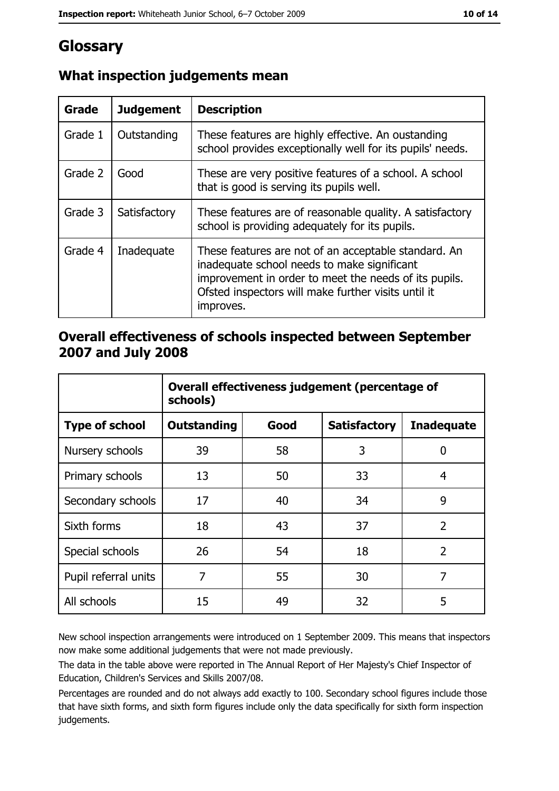# Glossary

| Grade   | <b>Judgement</b> | <b>Description</b>                                                                                                                                                                                                               |
|---------|------------------|----------------------------------------------------------------------------------------------------------------------------------------------------------------------------------------------------------------------------------|
| Grade 1 | Outstanding      | These features are highly effective. An oustanding<br>school provides exceptionally well for its pupils' needs.                                                                                                                  |
| Grade 2 | Good             | These are very positive features of a school. A school<br>that is good is serving its pupils well.                                                                                                                               |
| Grade 3 | Satisfactory     | These features are of reasonable quality. A satisfactory<br>school is providing adequately for its pupils.                                                                                                                       |
| Grade 4 | Inadequate       | These features are not of an acceptable standard. An<br>inadequate school needs to make significant<br>improvement in order to meet the needs of its pupils.<br>Ofsted inspectors will make further visits until it<br>improves. |

# What inspection judgements mean

## Overall effectiveness of schools inspected between September 2007 and July 2008

|                       | Overall effectiveness judgement (percentage of<br>schools) |      |                     |                   |
|-----------------------|------------------------------------------------------------|------|---------------------|-------------------|
| <b>Type of school</b> | Outstanding                                                | Good | <b>Satisfactory</b> | <b>Inadequate</b> |
| Nursery schools       | 39                                                         | 58   | 3                   | 0                 |
| Primary schools       | 13                                                         | 50   | 33                  | 4                 |
| Secondary schools     | 17                                                         | 40   | 34                  | 9                 |
| Sixth forms           | 18                                                         | 43   | 37                  | $\overline{2}$    |
| Special schools       | 26                                                         | 54   | 18                  | $\overline{2}$    |
| Pupil referral units  | 7                                                          | 55   | 30                  | 7                 |
| All schools           | 15                                                         | 49   | 32                  | 5                 |

New school inspection arrangements were introduced on 1 September 2009. This means that inspectors now make some additional judgements that were not made previously.

The data in the table above were reported in The Annual Report of Her Majesty's Chief Inspector of Education, Children's Services and Skills 2007/08.

Percentages are rounded and do not always add exactly to 100. Secondary school figures include those that have sixth forms, and sixth form figures include only the data specifically for sixth form inspection judgements.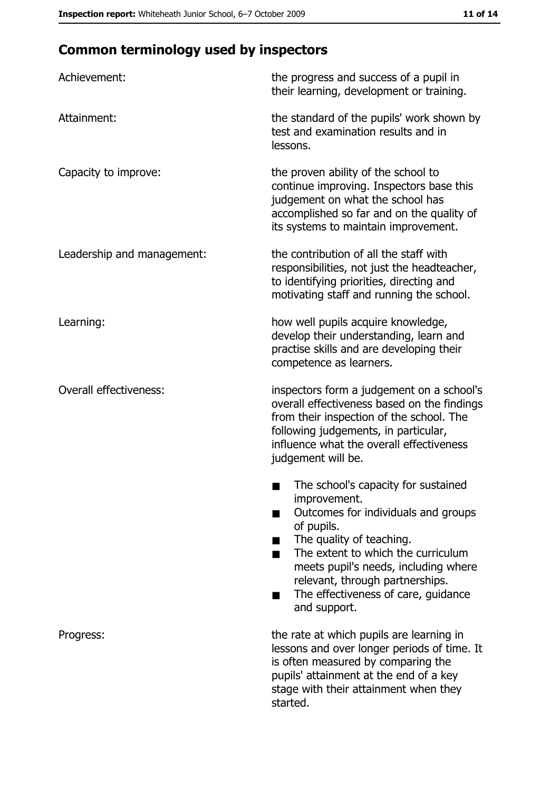# **Common terminology used by inspectors**

| Achievement:                  | the progress and success of a pupil in<br>their learning, development or training.                                                                                                                                                                                                                           |
|-------------------------------|--------------------------------------------------------------------------------------------------------------------------------------------------------------------------------------------------------------------------------------------------------------------------------------------------------------|
| Attainment:                   | the standard of the pupils' work shown by<br>test and examination results and in<br>lessons.                                                                                                                                                                                                                 |
| Capacity to improve:          | the proven ability of the school to<br>continue improving. Inspectors base this<br>judgement on what the school has<br>accomplished so far and on the quality of<br>its systems to maintain improvement.                                                                                                     |
| Leadership and management:    | the contribution of all the staff with<br>responsibilities, not just the headteacher,<br>to identifying priorities, directing and<br>motivating staff and running the school.                                                                                                                                |
| Learning:                     | how well pupils acquire knowledge,<br>develop their understanding, learn and<br>practise skills and are developing their<br>competence as learners.                                                                                                                                                          |
| <b>Overall effectiveness:</b> | inspectors form a judgement on a school's<br>overall effectiveness based on the findings<br>from their inspection of the school. The<br>following judgements, in particular,<br>influence what the overall effectiveness<br>judgement will be.                                                               |
|                               | The school's capacity for sustained<br>improvement.<br>Outcomes for individuals and groups<br>of pupils.<br>The quality of teaching.<br>The extent to which the curriculum<br>meets pupil's needs, including where<br>relevant, through partnerships.<br>The effectiveness of care, guidance<br>and support. |
| Progress:                     | the rate at which pupils are learning in<br>lessons and over longer periods of time. It<br>is often measured by comparing the<br>pupils' attainment at the end of a key<br>stage with their attainment when they<br>started.                                                                                 |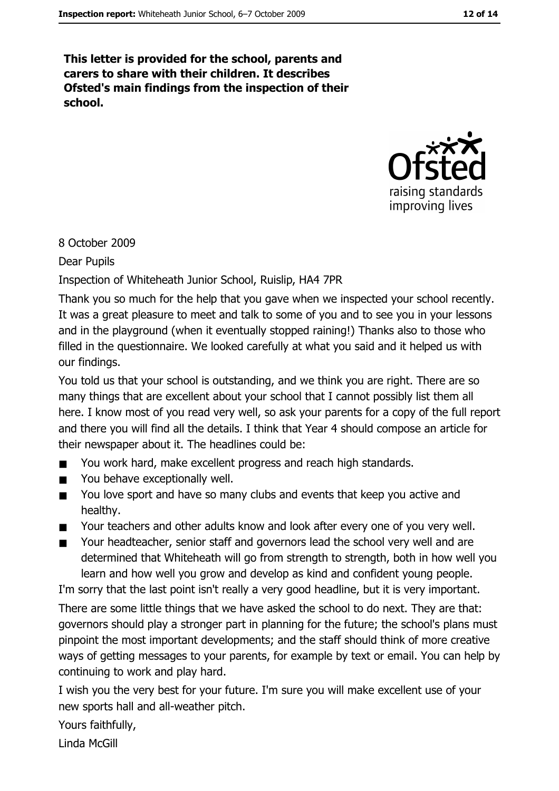This letter is provided for the school, parents and carers to share with their children. It describes Ofsted's main findings from the inspection of their school.



8 October 2009

**Dear Pupils** 

Inspection of Whiteheath Junior School, Ruislip, HA4 7PR

Thank you so much for the help that you gave when we inspected your school recently. It was a great pleasure to meet and talk to some of you and to see you in your lessons and in the playground (when it eventually stopped raining!) Thanks also to those who filled in the questionnaire. We looked carefully at what you said and it helped us with our findings.

You told us that your school is outstanding, and we think you are right. There are so many things that are excellent about your school that I cannot possibly list them all here. I know most of you read very well, so ask your parents for a copy of the full report and there you will find all the details. I think that Year 4 should compose an article for their newspaper about it. The headlines could be:

- You work hard, make excellent progress and reach high standards.  $\blacksquare$
- You behave exceptionally well.  $\blacksquare$
- You love sport and have so many clubs and events that keep you active and  $\blacksquare$ healthy.
- Your teachers and other adults know and look after every one of you very well.
- Your headteacher, senior staff and governors lead the school very well and are  $\blacksquare$ determined that Whiteheath will go from strength to strength, both in how well you learn and how well you grow and develop as kind and confident young people.

I'm sorry that the last point isn't really a very good headline, but it is very important. There are some little things that we have asked the school to do next. They are that: governors should play a stronger part in planning for the future; the school's plans must pinpoint the most important developments; and the staff should think of more creative ways of getting messages to your parents, for example by text or email. You can help by continuing to work and play hard.

I wish you the very best for your future. I'm sure you will make excellent use of your new sports hall and all-weather pitch.

Yours faithfully, Linda McGill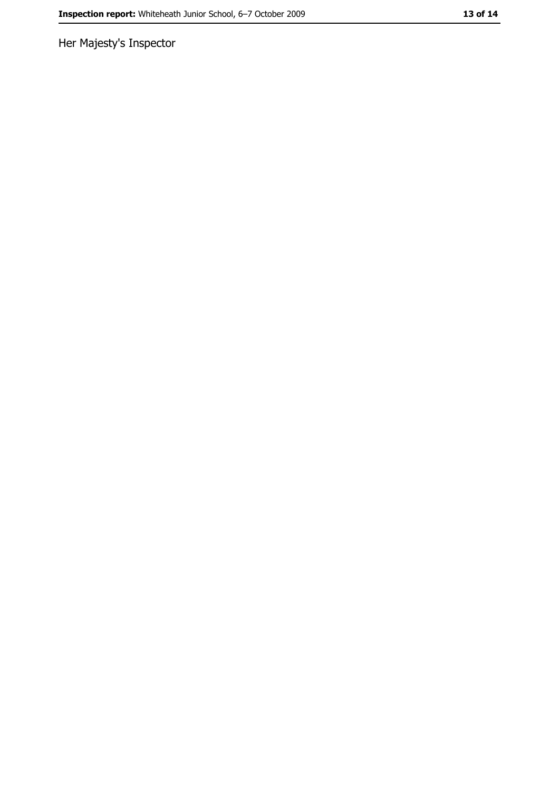Her Majesty's Inspector